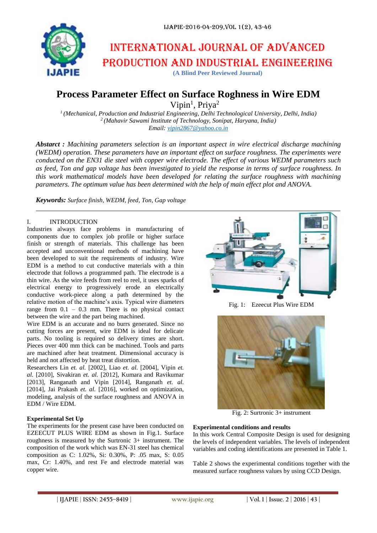

# International journal of advanced production and industrial engineering

**(A Blind Peer Reviewed Journal)**

# **Process Parameter Effect on Surface Roghness in Wire EDM**

Vipin<sup>1</sup>, Priya<sup>2</sup>

*1 (Mechanical, Production and Industrial Engineering, Delhi Technological University, Delhi, India) 2 (Mahavir Sawami Institute of Technology, Sonipat, Haryana, India) Email: [vipin2867@yahoo.co.in](mailto:vipin2867@yahoo.co.in)*

*Abstarct : Machining parameters selection is an important aspect in wire electrical discharge machining (WEDM) operation. These parameters have an important effect on surface roughness. The experiments were conducted on the EN31 die steel with copper wire electrode. The effect of various WEDM parameters such as feed, Ton and gap voltage has been investigated to yield the response in terms of surface roughness. In this work mathematical models have been developed for relating the surface roughness with machining parameters. The optimum value has been determined with the help of main effect plot and ANOVA.*

*Keywords: Surface finish, WEDM, feed, Ton, Gap voltage*

## I. INTRODUCTION

Industries always face problems in manufacturing of components due to complex job profile or higher surface finish or strength of materials. This challenge has been accepted and unconventional methods of machining have been developed to suit the requirements of industry. Wire EDM is a method to cut conductive materials with a thin electrode that follows a programmed path. The electrode is a thin wire. As the wire feeds from reel to reel, it uses sparks of electrical energy to progressively erode an electrically conductive work-piece along a path determined by the relative motion of the machine's axis. Typical wire diameters range from  $0.1 - 0.3$  mm. There is no physical contact between the wire and the part being machined.

Wire EDM is an accurate and no burrs generated. Since no cutting forces are present, wire EDM is ideal for delicate parts. No tooling is required so delivery times are short. Pieces over 400 mm thick can be machined. Tools and parts are machined after heat treatment. Dimensional accuracy is held and not affected by heat treat distortion.

Researchers Lin *et. al.* [2002], Liao *et. al.* [2004], Vipin *et. al.* [2010], Sivakiran *et. al.* [2012], Kumara and Ravikumar [2013], Ranganath and Vipin [2014], Ranganath *et. al.*  [2014], Jai Prakash *et. al.* [2016], worked on optimization, modeling, analysis of the surface roughness and ANOVA in EDM / Wire EDM.

#### **Experimental Set Up**

The experiments for the present case have been conducted on EZEECUT PLUS WIRE EDM as shown in Fig.1. Surface roughness is measured by the Surtronic 3+ instrument. The composition of the work which was EN-31 steel has chemical composition as C: 1.02%, Si: 0.30%, P: .05 max, S: 0.05 max, Cr: 1.40%, and rest Fe and electrode material was copper wire.



Fig. 1: Ezeecut Plus Wire EDM



Fig. 2: Surtronic 3+ instrument

#### **Experimental conditions and results**

In this work Central Composite Design is used for designing the levels of independent variables. The levels of independent variables and coding identifications are presented in Table 1.

Table 2 shows the experimental conditions together with the measured surface roughness values by using CCD Design.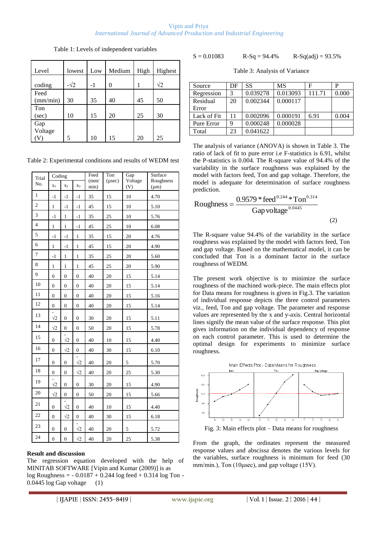#### Vipin and Priya *International Journal of Advanced Production and Industrial Engineering*

| Level            | lowest      | Low  | Medium | High | Highest    |
|------------------|-------------|------|--------|------|------------|
| coding           | $-\sqrt{2}$ | $-1$ | 0      | 1    | $\sqrt{2}$ |
| Feed<br>(mm/min) | 30          | 35   | 40     | 45   | 50         |
| Ton<br>(sec)     | 10          | 15   | 20     | 25   | 30         |
| Gap<br>Voltage   |             |      |        |      |            |
|                  |             | 10   | 15     | 20   | 25         |

Table 1: Levels of independent variables

| Table 2: Experimental conditions and results of WEDM test |
|-----------------------------------------------------------|
|-----------------------------------------------------------|

| Trial          | Coding           |                  |                  | Feed<br>$\text{m}$ | Ton<br>$(\mu$ sec $)$ | Gap<br>Voltage | Surface<br>Roughness |
|----------------|------------------|------------------|------------------|--------------------|-----------------------|----------------|----------------------|
| No.            | $x_1$            | $x_2$            | $X_3$            | min)               |                       | (V)            | $(\mu m)$            |
| $\mathbf{1}$   | $-1$             | -1               | $-1$             | 35                 | 15                    | 10             | 4.70                 |
| $\sqrt{2}$     | $\mathbf{1}$     | $-1$             | $-1$             | 45                 | 15                    | 10             | 5.10                 |
| 3              | $-1$             | $\mathbf{1}$     | $-1$             | 35                 | 25                    | 10             | 5.76                 |
| $\overline{4}$ | $\mathbf{1}$     | $\mathbf{1}$     | $-1$             | 45                 | 25                    | 10             | 6.08                 |
| 5              | -1               | $-1$             | 1                | 35                 | 15                    | 20             | 4.76                 |
| 6              | 1                | $-1$             | $\mathbf{1}$     | 45                 | 15                    | 20             | 4.90                 |
| $\overline{7}$ | $-1$             | $\mathbf{1}$     | $\mathbf{1}$     | 35                 | 25                    | 20             | 5.60                 |
| 8              | $\mathbf{1}$     | 1                | $\mathbf{1}$     | 45                 | 25                    | 20             | 5.90                 |
| 9              | $\overline{0}$   | $\overline{0}$   | $\overline{0}$   | 40                 | 20                    | 15             | 5.14                 |
| 10             | $\boldsymbol{0}$ | $\boldsymbol{0}$ | $\mathbf{0}$     | 40                 | 20                    | 15             | 5.14                 |
| 11             | $\boldsymbol{0}$ | $\boldsymbol{0}$ | $\mathbf{0}$     | 40                 | 20                    | 15             | 5.16                 |
| 12             | $\boldsymbol{0}$ | $\boldsymbol{0}$ | $\mathbf{0}$     | 40                 | 20                    | 15             | 5.14                 |
| 13             | $\sqrt{2}$       | $\boldsymbol{0}$ | $\boldsymbol{0}$ | 30                 | 20                    | 15             | 5.11                 |
| 14             | $\sqrt{2}$       | $\boldsymbol{0}$ | $\boldsymbol{0}$ | 50                 | 20                    | 15             | 5.78                 |
| 15             | $\mathbf{0}$     | $\sqrt{2}$       | $\mathbf{0}$     | 40                 | 10                    | 15             | 4.40                 |
| 16             | $\mathbf{0}$     | $\sqrt{2}$       | $\boldsymbol{0}$ | 40                 | 30                    | 15             | 6.10                 |
| 17             | $\overline{0}$   | $\overline{0}$   | $\sqrt{2}$       | 40                 | 20                    | 5              | 5.70                 |
| 18             | $\boldsymbol{0}$ | $\boldsymbol{0}$ | $\sqrt{2}$       | 40                 | 20                    | 25             | 5.30                 |
| 19             | $\sqrt{2}$       | $\overline{0}$   | $\overline{0}$   | 30                 | 20                    | 15             | 4.90                 |
| 20             | $\sqrt{2}$       | $\overline{0}$   | $\overline{0}$   | 50                 | 20                    | 15             | 5.66                 |
| 21             | 0                | $\sqrt{2}$       | 0                | 40                 | 10                    | 15             | 4.40                 |
| 22             | $\boldsymbol{0}$ | $\sqrt{2}$       | $\boldsymbol{0}$ | 40                 | 30                    | 15             | 6.18                 |
| 23             | $\boldsymbol{0}$ | $\boldsymbol{0}$ | $\sqrt{2}$       | 40                 | 20                    | 5              | 5.72                 |
| 24             | $\overline{0}$   | $\overline{0}$   | $\sqrt{2}$       | 40                 | 20                    | 25             | 5.38                 |

#### **Result and discussion**

The regression equation developed with the help of MINITAB SOFTWARE [Vipin and Kumar (2009)] is as log Roughness = - 0.0187 + 0.244 log feed + 0.314 log Ton -  $0.0445 \log G$ ap voltage  $(1)$ 

$$
S = 0.01083
$$
 R-Sq = 94.4% R-Sq(adj) = 93.5%

Table 3: Analysis of Variance

| Source      | DF | SS       | MS       | Е      |       |
|-------------|----|----------|----------|--------|-------|
| Regression  | 3  | 0.039278 | 0.013093 | 111.71 | 0.000 |
| Residual    | 20 | 0.002344 | 0.000117 |        |       |
| Error       |    |          |          |        |       |
| Lack of Fit | 11 | 0.002096 | 0.000191 | 6.91   | 0.004 |
| Pure Error  | 9  | 0.000248 | 0.000028 |        |       |
| Total       | 23 | 0.041622 |          |        |       |

The analysis of variance (ANOVA) is shown in Table 3. The ratio of lack of fit to pure error i.e F-statistics is 6.91, whilst the P-statistics is 0.004. The R-square value of 94.4% of the variability in the surface roughness was explained by the model with factors feed, Ton and gap voltage. Therefore, the model is adequate for determination of surface roughness prediction.

Roughness = 
$$
\frac{0.9579 * feed^{0.244} * Ton^{0.314}}{Gap voltage^{0.0445}}
$$
(2)

The R-square value 94.4% of the variability in the surface roughness was explained by the model with factors feed, Ton and gap voltage. Based on the mathematical model, it can be concluded that Ton is a dominant factor in the surface roughness of WEDM.

The present work objective is to minimize the surface roughness of the machined work-piece. The main effects plot for Data means for roughness is given in Fig.3. The variation of individual response depicts the three control parameters viz., feed, Ton and gap voltage. The parameter and response values are represented by the x and y-axis. Central horizontal lines signify the mean value of the surface response. This plot gives information on the individual dependency of response on each control parameter. This is used to determine the optimal design for experiments to minimize surface roughness.



Fig. 3: Main effects plot – Data means for roughness

From the graph, the ordinates represent the measured response values and abscissa denotes the various levels for the variables, surface roughness is minimum for feed (30 mm/min.), Ton (10μsec), and gap voltage (15V).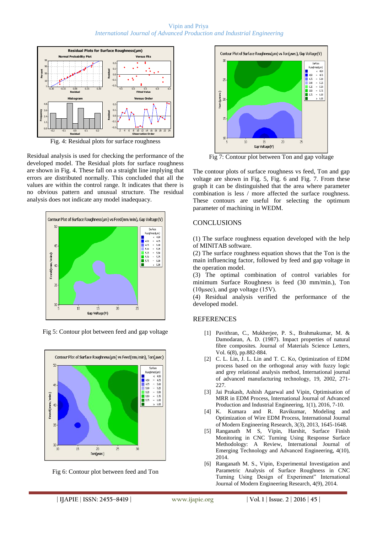Vipin and Priya *International Journal of Advanced Production and Industrial Engineering*



Residual analysis is used for checking the performance of the developed model. The Residual plots for surface roughness are shown in Fig. 4. These fall on a straight line implying that errors are distributed normally. This concluded that all the values are within the control range. It indicates that there is no obvious pattern and unusual structure. The residual analysis does not indicate any model inadequacy.



Fig 5: Contour plot between feed and gap voltage







Fig 7: Contour plot between Ton and gap voltage

The contour plots of surface roughness vs feed, Ton and gap voltage are shown in Fig. 5, Fig. 6 and Fig. 7. From these graph it can be distinguished that the area where parameter combination is less / more affected the surface roughness. These contours are useful for selecting the optimum parameter of machining in WEDM.

## **CONCLUSIONS**

(1) The surface roughness equation developed with the help of MINITAB software.

(2) The surface roughness equation shows that the Ton is the main influencing factor, followed by feed and gap voltage in the operation model.

(3) The optimal combination of control variables for minimum Surface Roughness is feed (30 mm/min.), Ton (10μsec), and gap voltage (15V).

(4) Residual analysis verified the performance of the developed model.

#### **REFERENCES**

- [1] Pavithran, C., Mukherjee, P. S., Brahmakumar, M. & Damodaran, A. D. (1987). Impact properties of natural fibre composites. Journal of Materials Science Letters, Vol. 6(8), pp.882-884.
- [2] C. L. Lin, J. L. Lin and T. C. Ko, Optimization of EDM process based on the orthogonal array with fuzzy logic and grey relational analysis method, International journal of advanced manufacturing technology, 19, 2002, 271- 227.
- [3] Jai Prakash, Ashish Agarwal and Vipin, Optimisation of MRR in EDM Process, International Journal of Advanced Production and Industrial Engineering, 1(1), 2016, 7-10.
- [4] K. Kumara and R. Ravikumar, Modeling and Optimization of Wire EDM Process, International Journal of Modern Engineering Research, 3(3), 2013, 1645-1648.
- [5] Ranganath M S, Vipin, Harshit, Surface Finish Monitoring in CNC Turning Using Response Surface Methodology: A Review, International Journal of Emerging Technology and Advanced Engineering, 4(10), 2014.
- [6] Ranganath M. S., Vipin, Experimental Investigation and Parametric Analysis of Surface Roughness in CNC Turning Using Design of Experiment" International Journal of Modern Engineering Research, 4(9), 2014.